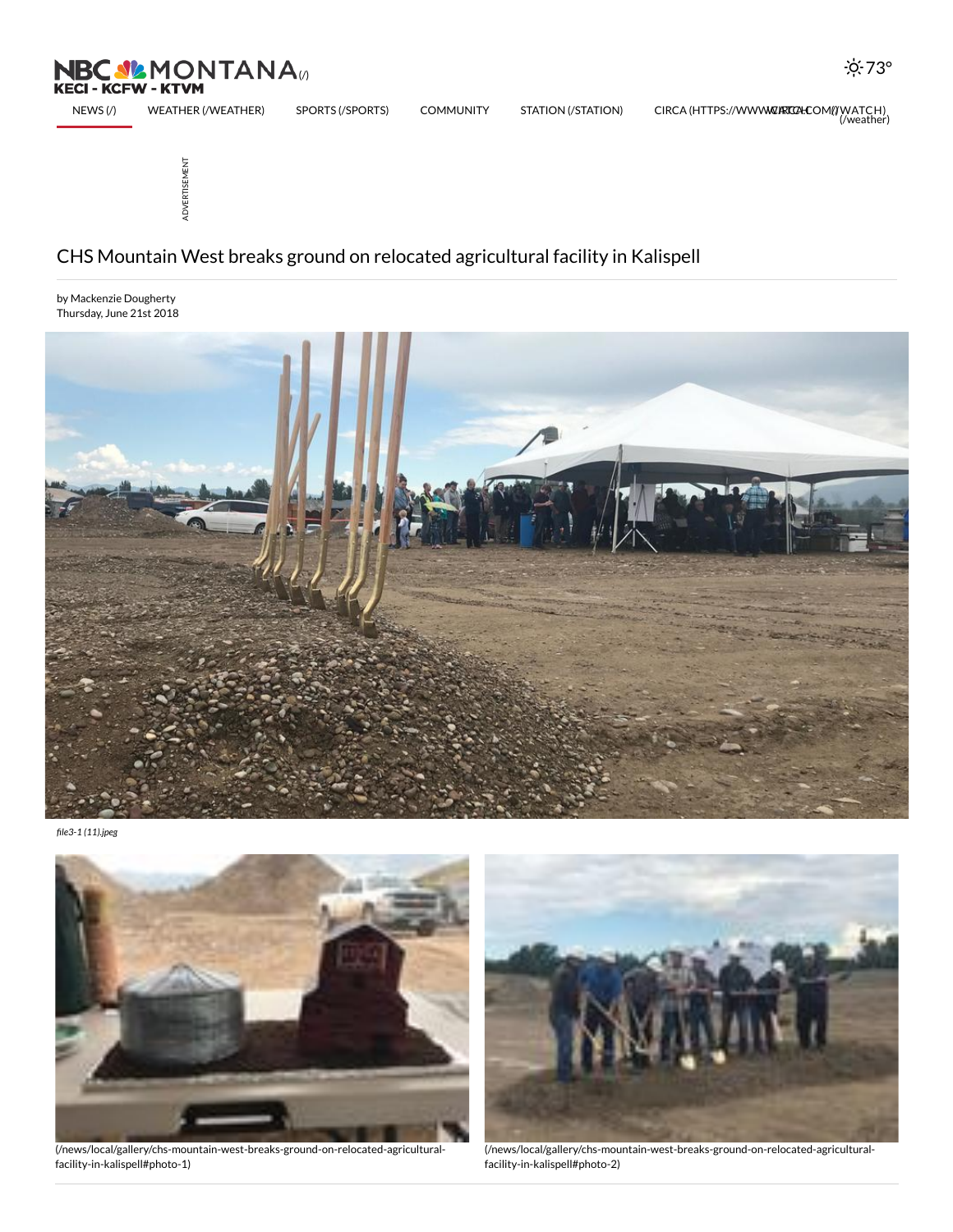ADVERTISEMENT

## CHS Mountain West breaks ground on relocated agricultural facility in Kalispell

by Mackenzie Dougherty Thursday, June 21st 2018



[NEWS](http://nbcmontana.com/) (/) WEATHER [\(/WEATHER\)](http://nbcmontana.com/weather) SPORTS [\(/SPORTS\)](http://nbcmontana.com/sports) COMMUNITY STATION [\(/STATION\)](http://nbcmontana.com/station) CIRCA (HTTPS://WWW**W.RTC2+C**OM(**//**W[ATCH\)](http://nbcmontana.com/watch)<br>(weather)

file3-1 (11).jpeg



[\(/news/local/gallery/chs-mountain-west-breaks-ground-on-relocated-agricultural](http://nbcmontana.com/news/local/gallery/chs-mountain-west-breaks-ground-on-relocated-agricultural-facility-in-kalispell#photo-1)facility-in-kalispell#photo-1)



[\(/news/local/gallery/chs-mountain-west-breaks-ground-on-relocated-agricultural](http://nbcmontana.com/news/local/gallery/chs-mountain-west-breaks-ground-on-relocated-agricultural-facility-in-kalispell#photo-2)facility-in-kalispell#photo-2)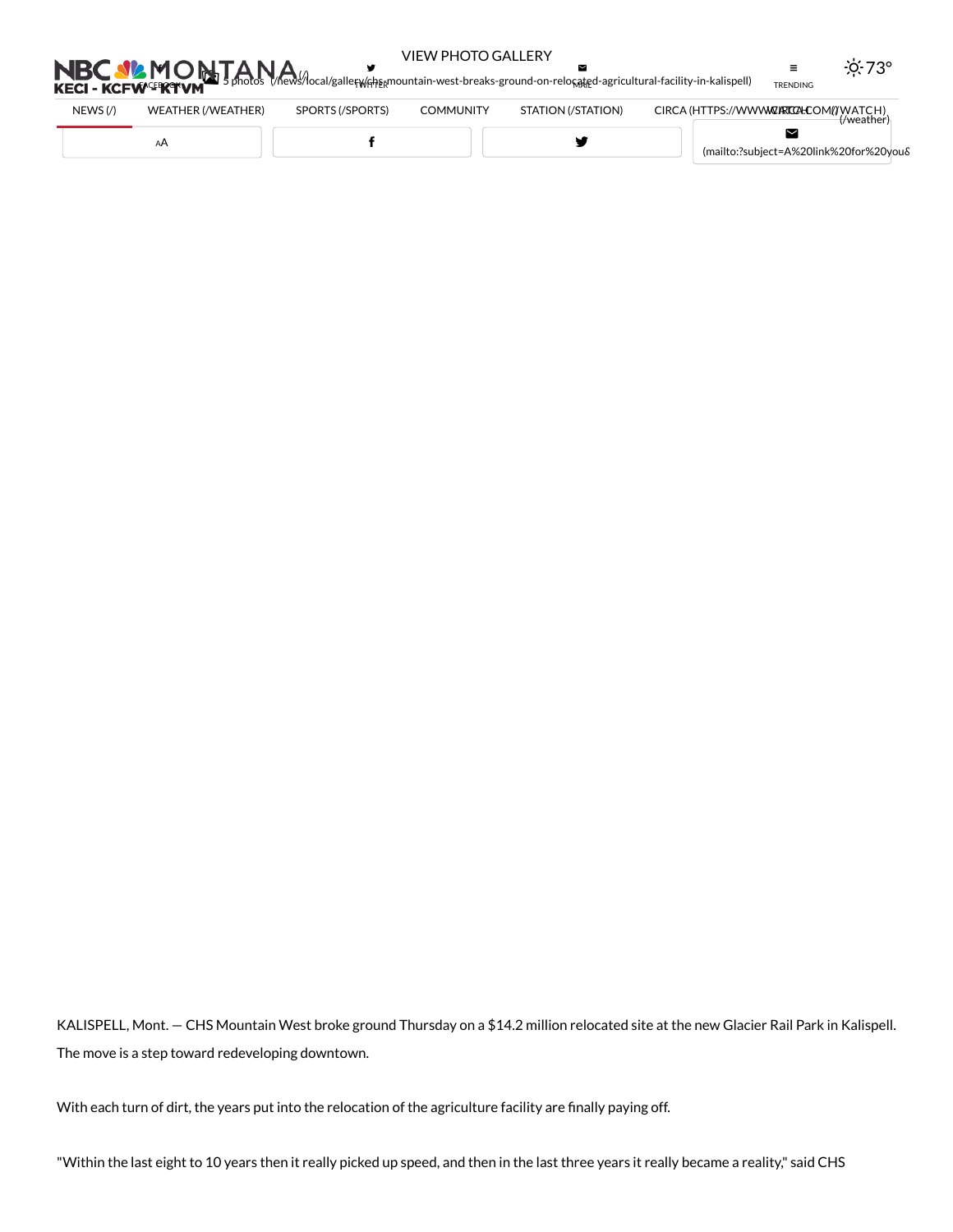## VIEW PHOTO GALLERY

 $\geq$ 

 $-0.73$ °

 $\equiv$ 

 $\sum_{\text{3} \text{ photons}} \sum_{\text{3} \text{ photons}} \sum_{\text{6}} \sum_{\text{6}}$ **FACEBOOKI** TWITTER MAIL TRENDING

У

| $NEWS$ (/) | WEATHER (/WEATHER) | SPORTS (/SPORTS) | <b>COMMUNITY</b> | STATION (/STATION) | ://WWW <b>WZIRTCZHCOM</b> I/IWATCH)<br>CIRCA (HTTPS:<br>$\theta$ weather |
|------------|--------------------|------------------|------------------|--------------------|--------------------------------------------------------------------------|
|            |                    |                  |                  |                    | (mailto:?subject=A%20link%20for%20youδ                                   |

KALISPELL, Mont. — CHS Mountain West broke ground Thursday on a \$14.2 million relocated site at the new Glacier Rail Park in Kalispell. The move is a step toward redeveloping downtown.

With each turn of dirt, the years put into the relocation of the agriculture facility are finally paying off.

"Within the last eight to 10 years then it really picked up speed, and then in the last three years it really became a reality," said CHS